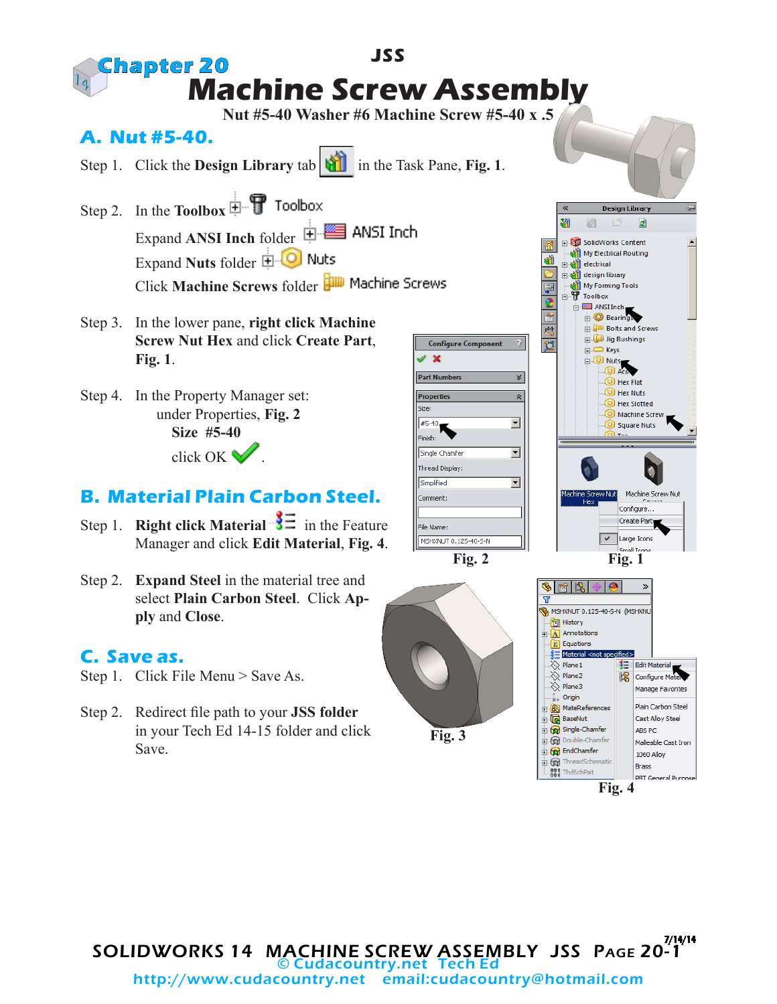

Step 2. Redirect file path to your **JSS folder** in your Tech Ed 14-15 folder and click Save.

**Fig. 3**

**Fig. 4**

Cast Alloy Steel

Malleable Cast Iron

PRT General Purnos

ABS PC

**Brass** 

1060 Allov

**B** BaseNut

Single-Chamfer

Double-Chamfer

ThreadSchematic

.888 ThdSchPat

EndChamfer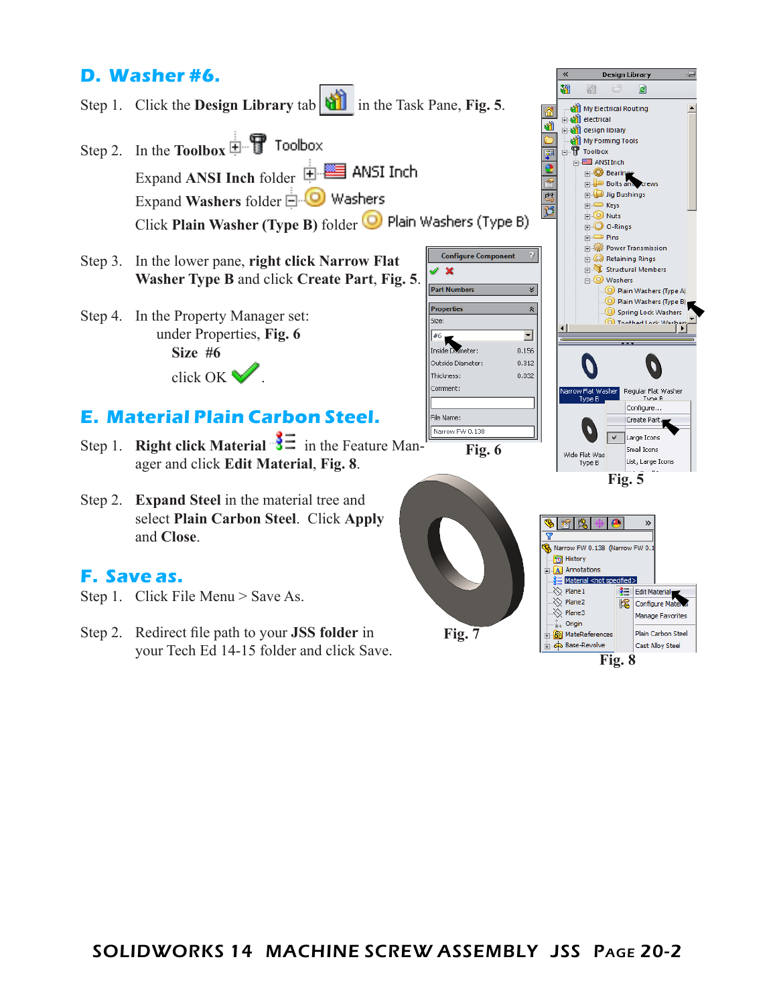## **D. Washer #6.**

Step 1. Click the **Design Library** tab **in** in the Task Pane, **Fig. 5**.

Step 2. In the **Toolbox** Expand **ANSI Inch** folder Expand **Washers** folder Click **Plain Washer (Type B)** folder

- Step 3. In the lower pane, **right click Narrow Flat Washer Type B** and click **Create Part**, **Fig. 5**.
- Step 4. In the Property Manager set: under Properties, **Fig. 6 Size #6** click OK .

## **E. Material Plain Carbon Steel.**

- Step 1. **Right click Material**  $\frac{3}{5}$  in the Feature Manager and click **Edit Material**, **Fig. 8**.
- Step 2. **Expand Steel** in the material tree and select **Plain Carbon Steel**. Click **Apply** and **Close**.

### **F. Save as.**

- Step 1. Click File Menu > Save As.
- Step 2. Redirect file path to your **JSS folder** in your Tech Ed 14-15 folder and click Save.

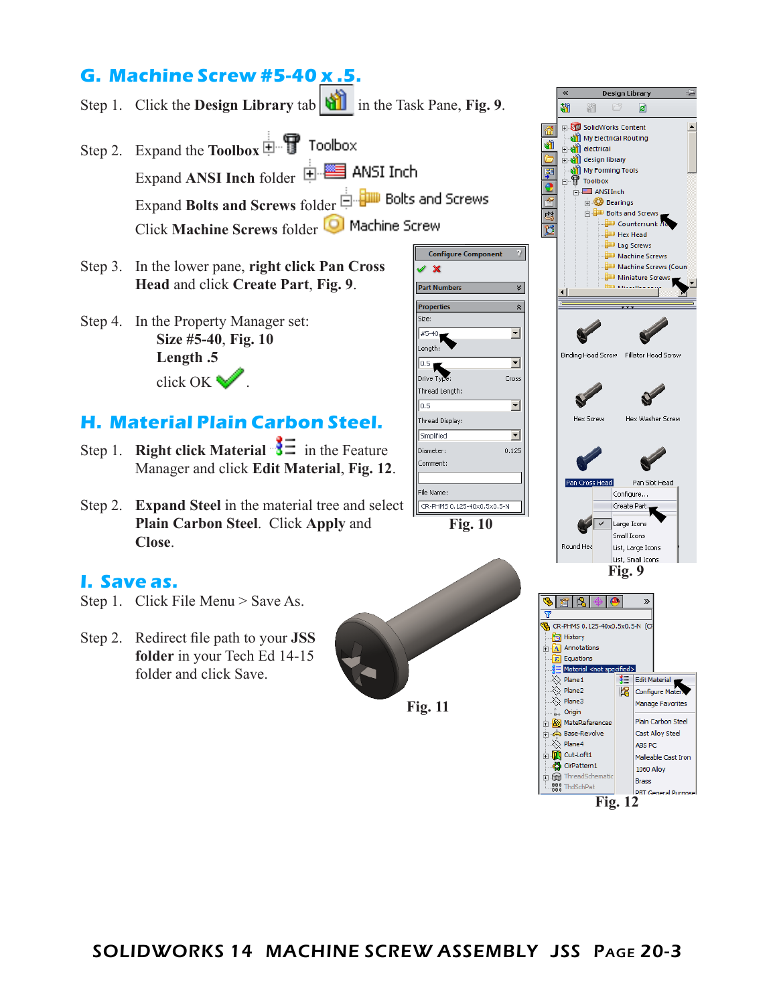# **G. Machine Screw #5-40 x .5.**

|  |  | Step 1. Click the <b>Design Library</b> tab $\boxed{1}$ in the Task Pane, Fig. 9. |
|--|--|-----------------------------------------------------------------------------------|
|--|--|-----------------------------------------------------------------------------------|

- Step 2. Expand the **Toolbox** Expand **ANSI Inch** folder Expand **Bolts and Screws** folder Click **Machine Screws** folder
- Step 3. In the lower pane, **right click Pan Cross Head** and click **Create Part**, **Fig. 9**.
- Step 4. In the Property Manager set: **Size #5-40**, **Fig. 10 Length .5** click OK  $\mathbb{Z}$

### **H. Material Plain Carbon Steel.**

- Step 1. **Right click Material**  $\frac{3}{5}$  in the Feature Manager and click **Edit Material**, **Fig. 12**.
- Step 2. **Expand Steel** in the material tree and select **Plain Carbon Steel**. Click **Apply** and **Close**.

#### **I. Save as.**

- Step 1. Click File Menu > Save As.
- Step 2. Redirect file path to your **JSS folder** in your Tech Ed 14-15 folder and click Save.



**Fig. 12**

**DRT General Puri** 

800 ThdSchPat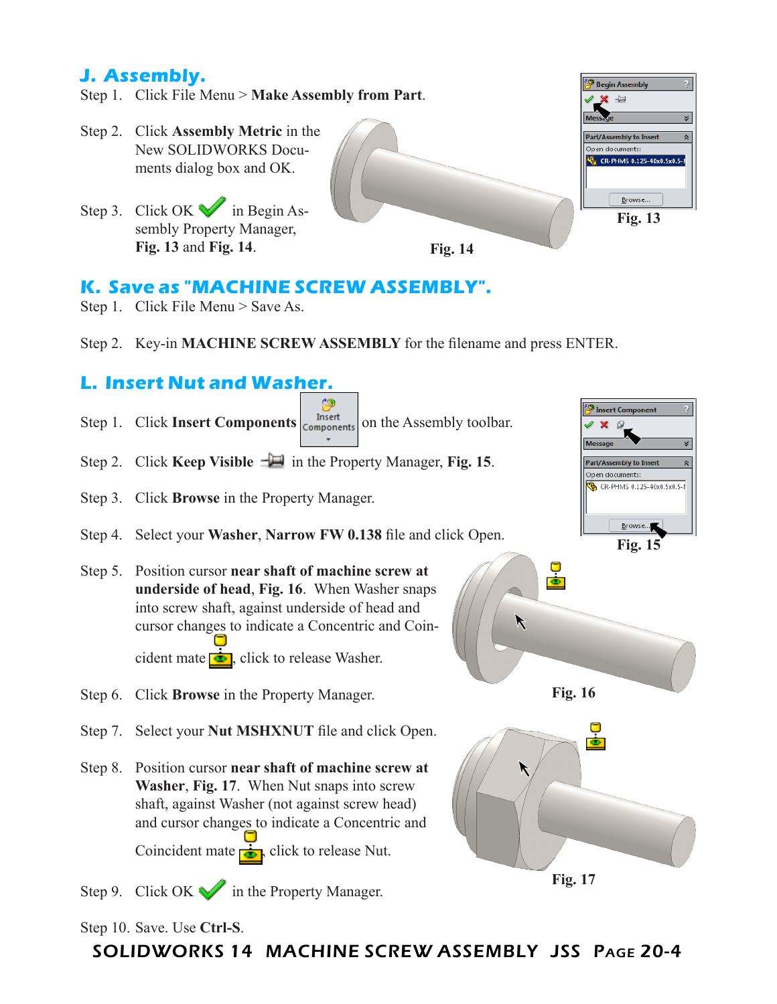## **J. Assembly.**

- Step 1. Click File Menu > **Make Assembly from Part**.
- Step 2. Click **Assembly Metric** in the New SOLIDWORKS Documents dialog box and OK.
- Step 3. Click OK in Begin Assembly Property Manager, **Fig. 13** and **Fig. 14**.



## **K. Save as "MACHINE SCREW ASSEMBLY".**

- Step 1. Click File Menu > Save As.
- Step 2. Key-in **MACHINE SCREW ASSEMBLY** for the filename and press ENTER.

**Fig. 14**

## **L. Insert Nut and Washer.**



#### Step 10. Save. Use **Ctrl-S**.

SOLIDWORKS 14 MACHINE SCREW ASSEMBLY JSS Page 20-4